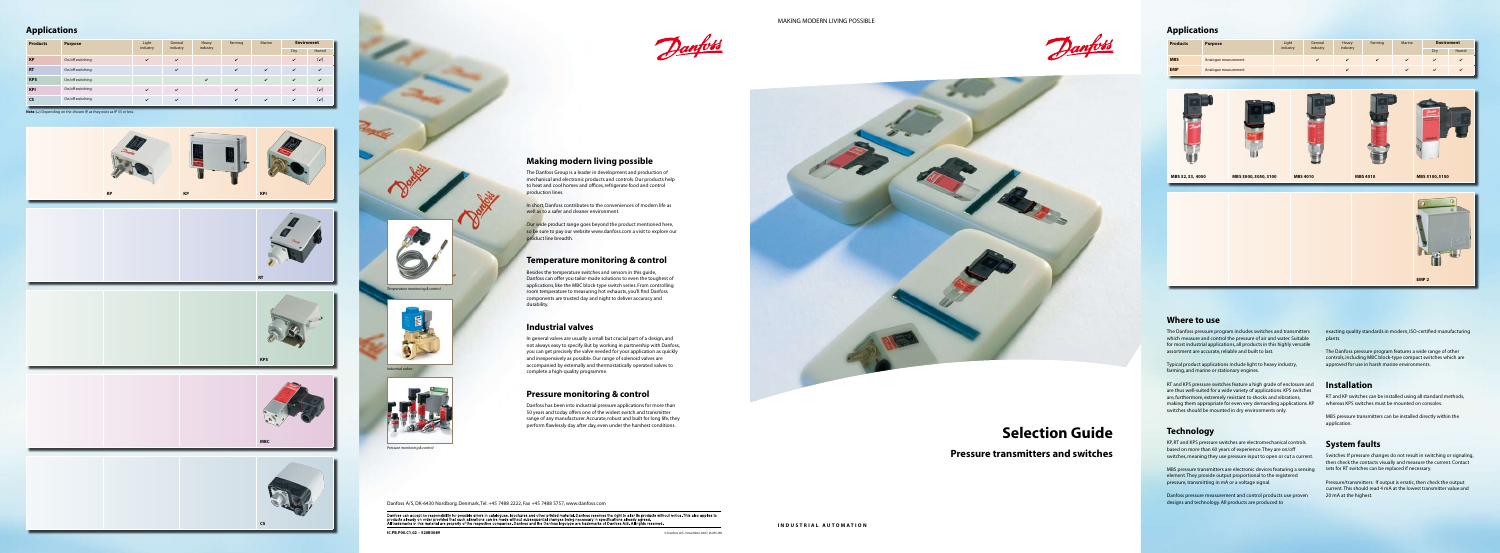Danfoss











![](_page_0_Picture_6.jpeg)

![](_page_0_Picture_7.jpeg)

![](_page_0_Picture_50.jpeg)

![](_page_0_Picture_51.jpeg)

#### **Where to use**

The Danfoss pressure program includes switches and transmitters which measure and control the pressure of air and water. Suitable for most industrial applications, all products in this highly versatile assortment are accurate, reliable and built to last.

Typical product applications include light to heavy industry, farming, and marine or stationary engines.

RT and KPS pressure switches feature a high grade of enclosure and are thus well-suited for a wide variety of applications. KPS switches are, furthermore, extremely resistant to shocks and vibrations, making them appropriate for even very demanding applications. KP switches should be mounted in dry environments only.

# **Technology**

KP, RT and KPS pressure switches are electromechanical controls based on more than 60 years of experience. They are on/off switches, meaning they use pressure input to open or cut a current.

MBS pressure transmitters are electronic devices featuring a sensing element. They provide output proportional to the registered pressure, transmitting in mA or a voltage signal.

Danfoss pressure measurement and control products use proven designs and technology. All products are produced to

exacting quality standards in modern, ISO-certified manufacturing plants.

The Danfoss pressure program features a wide range of other controls, including MBC block-type compact switches which are approved for use in harsh marine environments.

#### **Installation**

RT and KP switches can be installed using all standard methods, whereas KPS switches must be mounted on consoles.

MBS pressure transmitters can be installed directly within the application.

### **System faults**

Switches: If pressure changes do not result in switching or signaling, then check the contacts visually and measure the current. Contact sets for RT switches can be replaced if necessary.

Pressure/transmitters: If output is erratic, then check the output current. This should read 4 mA at the lowest transmitter value and 20 mA at the highest.

#### **Making modern living possible**

The Danfoss Group is a leader in development and production of mechanical and electronic products and controls. Our products help to heat and cool homes and offices, refrigerate food and control

**Our wide product range goes beyond the product mentioned here,** so be sure to pay our website www.danfoss.com a visit to explore our

![](_page_0_Picture_34.jpeg)

production lines.

In short, Danfoss contributes to the conveniences of modern life as well as to a safer and cleaner environment.

product line breadth.

#### **Temperature monitoring & control**

Besides the temperature switches and sensors in this guide, Danfoss can offer you tailor-made solutions to even the toughest of applications, like the MBC block-type switch series. From controlling room temperature to measuring hot exhausts, you'll find Danfoss components are trusted day and night to deliver accuracy and durability.

#### **Industrial valves**

In general valves are usually a small but crucial part of a design, and not always easy to specify. But by working in partnership with Danfoss, you can get precisely the valve needed for your application as quickly and inexpensively as possible. Our range of solenoid valves are accompanied by externally and thermostatically operated valves to complete a high-quality programme.

#### **Pressure monitoring & control**

Danfoss has been into industrial pressure applications for more than 50 years and today offers one of the widest switch and transmitter range of any manufacturer. Accurate, robust and built for long life, they perform flawlessly day after day, even under the harshest conditions.

Danfoss A/S, DK-6430 Nordborg, Denmark, Tel. +45 7488 2222, Fax +45 7488 5757, www.danfoss.com

-<br>Danfoss can accept no responsibility for possible errors in catalogues, brochures and other printed material. Danfoss reserves the right to alter its products without notice. This also applies to<br>products already on orde

**IC.PB.P00.C1.02 – 520B3089** © Danfoss A/S, November 2007, IA-MC/dlt

*Pressure monitoring & control*

![](_page_0_Picture_10.jpeg)

![](_page_0_Picture_11.jpeg)

![](_page_0_Picture_8.jpeg)

![](_page_0_Picture_9.jpeg)

#### **Applications**

#### **Applications**

# **Selection Guide**

**Pressure transmitters and switches**

| <b>Products</b> | <b>Purpose</b>   | Light        | General      | Heavy    | Farming | Marine             |              | <b>Enviroment</b>            |
|-----------------|------------------|--------------|--------------|----------|---------|--------------------|--------------|------------------------------|
|                 |                  | industry     | industry     | industry |         |                    | Dry          | Humid                        |
| <b>KP</b>       | On/off switching | $\mathbf{v}$ | $\checkmark$ |          | ✓       |                    | $\mathbf{v}$ | $(\nu)$                      |
| <b>RT</b>       | On/off switching |              | $\mathbf{v}$ |          | ✓       | $\mathbf{v}$       | $\mathbf{v}$ | ✓                            |
| <b>KPS</b>      | On/off switching |              |              | ✓        |         | $\mathbf{v}$       | $\mathbf{v}$ | ✓                            |
| <b>KPI</b>      | On/off switching | ✓            | $\checkmark$ |          | ✓       |                    | ✓            | $(\boldsymbol{\mathcal{v}})$ |
| CS              | On/off switching | ✓            | $\checkmark$ |          | ✓       | $\boldsymbol{\nu}$ | ✓            | $(\boldsymbol{\nu})$         |

**Note:**  $(v)$  Depending on the chosen IP, as they exist as IP 55 or less.

| <b>Products</b> | <b>Purpose</b>       | Light<br>industry | General<br>industry | Heavy<br>industry | Farming | Marine |     | <b>Enviroment</b> |
|-----------------|----------------------|-------------------|---------------------|-------------------|---------|--------|-----|-------------------|
|                 |                      |                   |                     |                   |         |        | Dry | Humid             |
| <b>MBS</b>      | Analogue measurement |                   |                     |                   | ✓       | ✓      | ↙   | $\overline{ }$    |
| <b>EMP</b>      | Analogue measurement |                   |                     |                   |         | ✓      | ↙   | $\overline{ }$    |